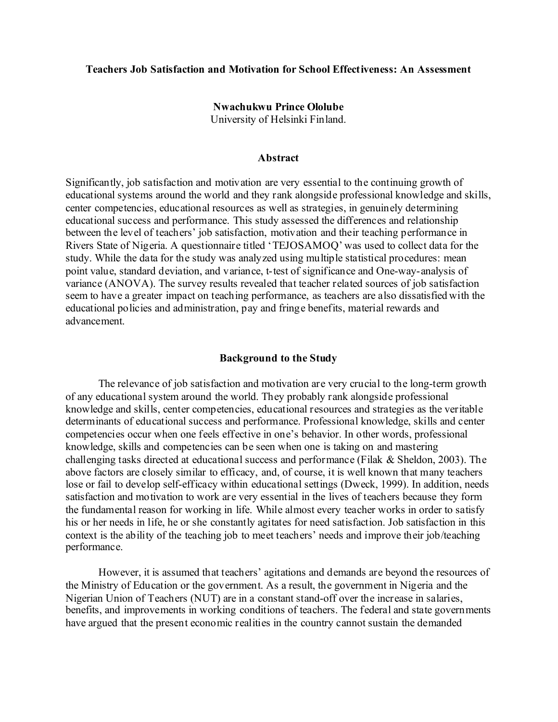#### **Teachers Job Satisfaction and Motivation for School Effectiveness: An Assessment**

# **Nwachukwu Prince Ololube** University of Helsinki Finland.

#### **Abstract**

Significantly, job satisfaction and motivation are very essential to the continuing growth of educational systems around the world and they rank alongside professional knowledge and skills, center competencies, educational resources as well as strategies, in genuinely determining educational success and performance. This study assessed the differences and relationship between the level of teachers' job satisfaction, motivation and their teaching performance in Rivers State of Nigeria. A questionnaire titled 'TEJOSAMOQ' was used to collect data for the study. While the data for the study was analyzed using multiple statistical procedures: mean point value, standard deviation, and variance, t-test of significance and One-way-analysis of variance (ANOVA). The survey results revealed that teacher related sources of job satisfaction seem to have a greater impact on teaching performance, as teachers are also dissatisfied with the educational policies and administration, pay and fringe benefits, material rewards and advancement.

#### **Background to the Study**

The relevance of job satisfaction and motivation are very crucial to the long-term growth of any educational system around the world. They probably rank alongside professional knowledge and skills, center competencies, educational resources and strategies as the veritable determinants of educational success and performance. Professional knowledge, skills and center competencies occur when one feels effective in one's behavior. In other words, professional knowledge, skills and competencies can be seen when one is taking on and mastering challenging tasks directed at educational success and performance (Filak & Sheldon, 2003). The above factors are closely similar to efficacy, and, of course, it is well known that many teachers lose or fail to develop self-efficacy within educational settings (Dweck, 1999). In addition, needs satisfaction and motivation to work are very essential in the lives of teachers because they form the fundamental reason for working in life. While almost every teacher works in order to satisfy his or her needs in life, he or she constantly agitates for need satisfaction. Job satisfaction in this context is the ability of the teaching job to meet teachers' needs and improve their job/teaching performance.

However, it is assumed that teachers' agitations and demands are beyond the resources of the Ministry of Education or the government. As a result, the government in Nigeria and the Nigerian Union of Teachers (NUT) are in a constant stand-off over the increase in salaries, benefits, and improvements in working conditions of teachers. The federal and state governments have argued that the present economic realities in the country cannot sustain the demanded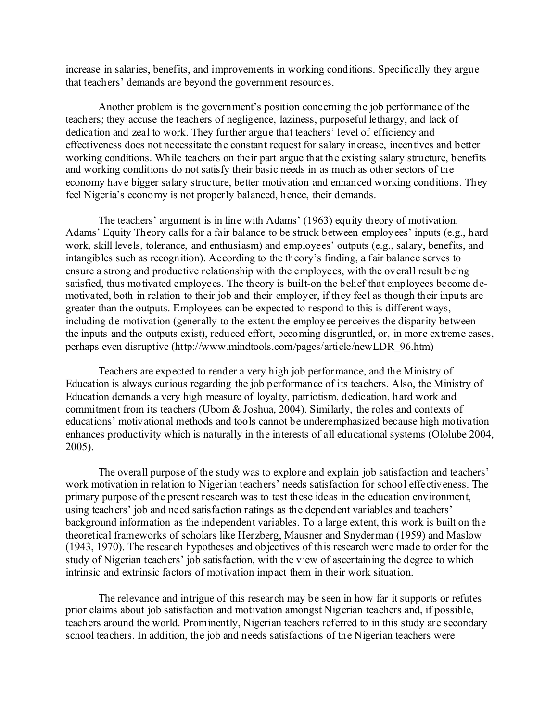increase in salaries, benefits, and improvements in working conditions. Specifically they argue that teachers' demands are beyond the government resources.

Another problem is the government's position concerning the job performance of the teachers; they accuse the teachers of negligence, laziness, purposeful lethargy, and lack of dedication and zeal to work. They further argue that teachers' level of efficiency and effectiveness does not necessitate the constant request for salary increase, incentives and better working conditions. While teachers on their part argue that the existing salary structure, benefits and working conditions do not satisfy their basic needs in as much as other sectors of the economy have bigger salary structure, better motivation and enhanced working conditions. They feel Nigeria's economy is not properly balanced, hence, their demands.

The teachers' argument is in line with Adams' (1963) equity theory of motivation. Adams' Equity Theory calls for a fair balance to be struck between employees' inputs (e.g., hard work, skill levels, tolerance, and enthusiasm) and employees' outputs (e.g., salary, benefits, and intangibles such as recognition). According to the theory's finding, a fair balance serves to ensure a strong and productive relationship with the employees, with the overall result being satisfied, thus motivated employees. The theory is built-on the belief that employees become demotivated, both in relation to their job and their employer, if they feel as though their inputs are greater than the outputs. Employees can be expected to respond to this is different ways, including de-motivation (generally to the extent the employee perceives the disparity between the inputs and the outputs exist), reduced effort, becoming disgruntled, or, in more extreme cases, perhaps even disruptive (http://www.mindtools.com/pages/article/newLDR\_96.htm)

Teachers are expected to render a very high job performance, and the Ministry of Education is always curious regarding the job performance of its teachers. Also, the Ministry of Education demands a very high measure of loyalty, patriotism, dedication, hard work and commitment from its teachers (Ubom & Joshua, 2004). Similarly, the roles and contexts of educations' motivational methods and tools cannot be underemphasized because high motivation enhances productivity which is naturally in the interests of all educational systems (Ololube 2004, 2005).

The overall purpose of the study was to explore and explain job satisfaction and teachers' work motivation in relation to Nigerian teachers' needs satisfaction for school effectiveness. The primary purpose of the present research was to test these ideas in the education environment, using teachers' job and need satisfaction ratings as the dependent variables and teachers' background information as the independent variables. To a large extent, this work is built on the theoretical frameworks of scholars like Herzberg, Mausner and Snyderman (1959) and Maslow (1943, 1970). The research hypotheses and objectives of this research were made to order for the study of Nigerian teachers' job satisfaction, with the view of ascertaining the degree to which intrinsic and extrinsic factors of motivation impact them in their work situation.

The relevance and intrigue of this research may be seen in how far it supports or refutes prior claims about job satisfaction and motivation amongst Nigerian teachers and, if possible, teachers around the world. Prominently, Nigerian teachers referred to in this study are secondary school teachers. In addition, the job and needs satisfactions of the Nigerian teachers were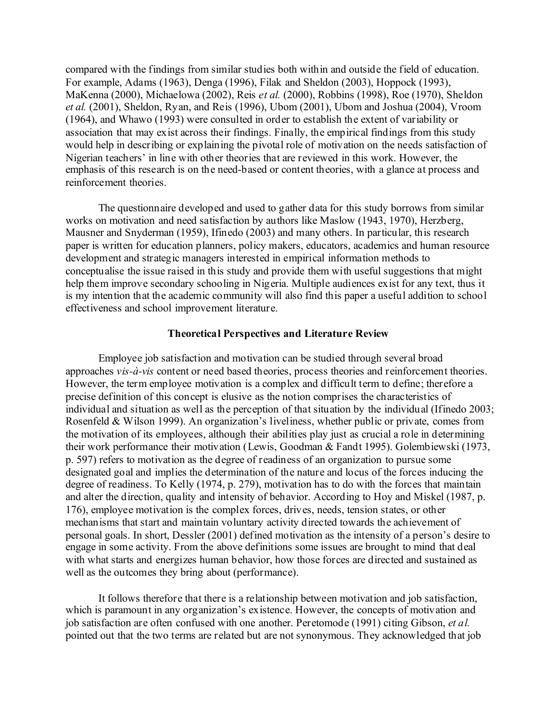compared with the findings from similar studies both within and outside the field of education. For example, Adams (1963), Denga (1996), Filak and Sheldon (2003), Hoppock (1993), MaKenna (2000), Michaelowa (2002), Reis *et al.* (2000), Robbins (1998), Roe (1970), Sheldon *et al.* (2001), Sheldon, Ryan, and Reis (1996), Ubom (2001), Ubom and Joshua (2004), Vroom (1964), and Whawo (1993) were consulted in order to establish the extent of variability or association that may exist across their findings. Finally, the empirical findings from this study would help in describing or explaining the pivotal role of motivation on the needs satisfaction of Nigerian teachers' in line with other theories that are reviewed in this work. However, the emphasis of this research is on the need-based or content theories, with a glance at process and reinforcement theories.

The questionnaire developed and used to gather data for this study borrows from similar works on motivation and need satisfaction by authors like Maslow (1943, 1970), Herzberg, Mausner and Snyderman (1959), Ifinedo (2003) and many others. In particular, this research paper is written for education planners, policy makers, educators, academics and human resource development and strategic managers interested in empirical information methods to conceptualise the issue raised in this study and provide them with useful suggestions that might help them improve secondary schooling in Nigeria. Multiple audiences exist for any text, thus it is my intention that the academic community will also find this paper a useful addition to school effectiveness and school improvement literature.

# **Theoretical Perspectives and Literature Review**

Employee job satisfaction and motivation can be studied through several broad approaches *vis-à-vis* content or need based theories, process theories and reinforcement theories. However, the term employee motivation is a complex and difficult term to define; therefore a precise definition of this concept is elusive as the notion comprises the characteristics of individual and situation as well as the perception of that situation by the individual (Ifinedo 2003; Rosenfeld & Wilson 1999). An organization's liveliness, whether public or private, comes from the motivation of its employees, although their abilities play just as crucial a role in determining their work performance their motivation (Lewis, Goodman & Fandt 1995). Golembiewski (1973, p. 597) refers to motivation as the degree of readiness of an organization to pursue some designated goal and implies the determination of the nature and locus of the forces inducing the degree of readiness. To Kelly (1974, p. 279), motivation has to do with the forces that maintain and alter the direction, quality and intensity of behavior. According to Hoy and Miskel (1987, p. 176), employee motivation is the complex forces, drives, needs, tension states, or other mechanisms that start and maintain voluntary activity directed towards the achievement of personal goals. In short, Dessler (2001) defined motivation as the intensity of a person's desire to engage in some activity. From the above definitions some issues are brought to mind that deal with what starts and energizes human behavior, how those forces are directed and sustained as well as the outcomes they bring about (performance).

It follows therefore that there is a relationship between motivation and job satisfaction, which is paramount in any organization's existence. However, the concepts of motivation and job satisfaction are often confused with one another. Peretomode (1991) citing Gibson, *et al.* pointed out that the two terms are related but are not synonymous. They acknowledged that job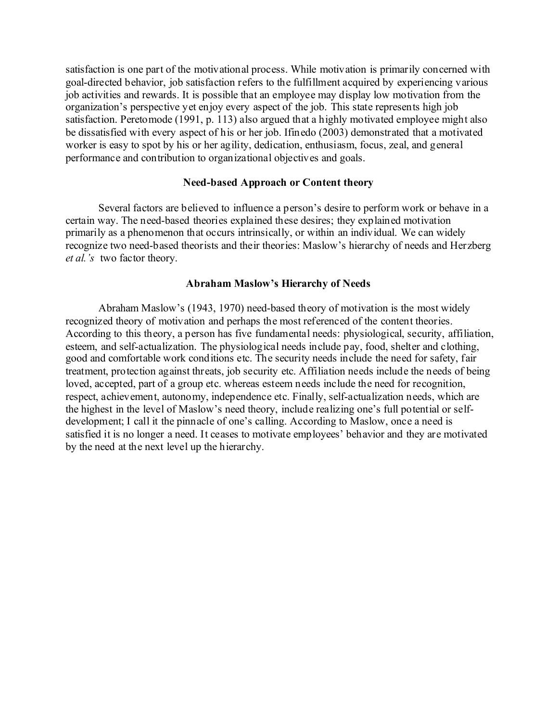satisfaction is one part of the motivational process. While motivation is primarily concerned with goal-directed behavior, job satisfaction refers to the fulfillment acquired by experiencing various job activities and rewards. It is possible that an employee may display low motivation from the organization's perspective yet enjoy every aspect of the job. This state represents high job satisfaction. Peretomode (1991, p. 113) also argued that a highly motivated employee might also be dissatisfied with every aspect of his or her job. Ifinedo (2003) demonstrated that a motivated worker is easy to spot by his or her agility, dedication, enthusiasm, focus, zeal, and general performance and contribution to organizational objectives and goals.

## **Need-based Approach or Content theory**

Several factors are believed to influence a person's desire to perform work or behave in a certain way. The need-based theories explained these desires; they explained motivation primarily as a phenomenon that occurs intrinsically, or within an individual. We can widely recognize two need-based theorists and their theories: Maslow's hierarchy of needs and Herzberg *et al.'s* two factor theory.

# **Abraham Maslow's Hierarchy of Needs**

Abraham Maslow's (1943, 1970) need-based theory of motivation is the most widely recognized theory of motivation and perhaps the most referenced of the content theories. According to this theory, a person has five fundamental needs: physiological, security, affiliation, esteem, and self-actualization. The physiological needs include pay, food, shelter and clothing, good and comfortable work conditions etc. The security needs include the need for safety, fair treatment, protection against threats, job security etc. Affiliation needs include the needs of being loved, accepted, part of a group etc. whereas esteem needs include the need for recognition, respect, achievement, autonomy, independence etc. Finally, self-actualization needs, which are the highest in the level of Maslow's need theory, include realizing one's full potential or selfdevelopment; I call it the pinnacle of one's calling. According to Maslow, once a need is satisfied it is no longer a need. It ceases to motivate employees' behavior and they are motivated by the need at the next level up the hierarchy.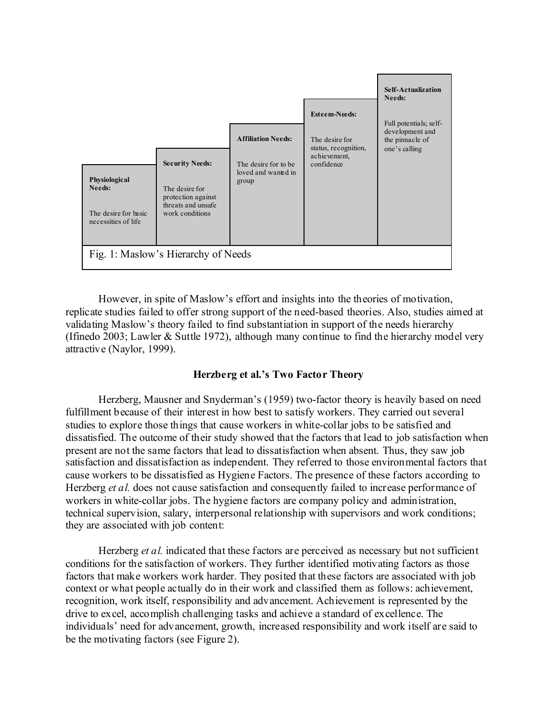

However, in spite of Maslow's effort and insights into the theories of motivation, replicate studies failed to offer strong support of the need-based theories. Also, studies aimed at validating Maslow's theory failed to find substantiation in support of the needs hierarchy (Ifinedo 2003; Lawler & Suttle 1972), although many continue to find the hierarchy model very attractive (Naylor, 1999).

# **Herzberg et al.'s Two Factor Theory**

Herzberg, Mausner and Snyderman's (1959) two-factor theory is heavily based on need fulfillment because of their interest in how best to satisfy workers. They carried out several studies to explore those things that cause workers in white-collar jobs to be satisfied and dissatisfied. The outcome of their study showed that the factors that lead to job satisfaction when present are not the same factors that lead to dissatisfaction when absent. Thus, they saw job satisfaction and dissatisfaction as independent. They referred to those environmental factors that cause workers to be dissatisfied as Hygiene Factors. The presence of these factors according to Herzberg *et al.* does not cause satisfaction and consequently failed to increase performance of workers in white-collar jobs. The hygiene factors are company policy and administration, technical supervision, salary, interpersonal relationship with supervisors and work conditions; they are associated with job content:

Herzberg *et al.* indicated that these factors are perceived as necessary but not sufficient conditions for the satisfaction of workers. They further identified motivating factors as those factors that make workers work harder. They posited that these factors are associated with job context or what people actually do in their work and classified them as follows: achievement, recognition, work itself, responsibility and advancement. Achievement is represented by the drive to excel, accomplish challenging tasks and achieve a standard of excellence. The individuals' need for advancement, growth, increased responsibility and work itself are said to be the motivating factors (see Figure 2).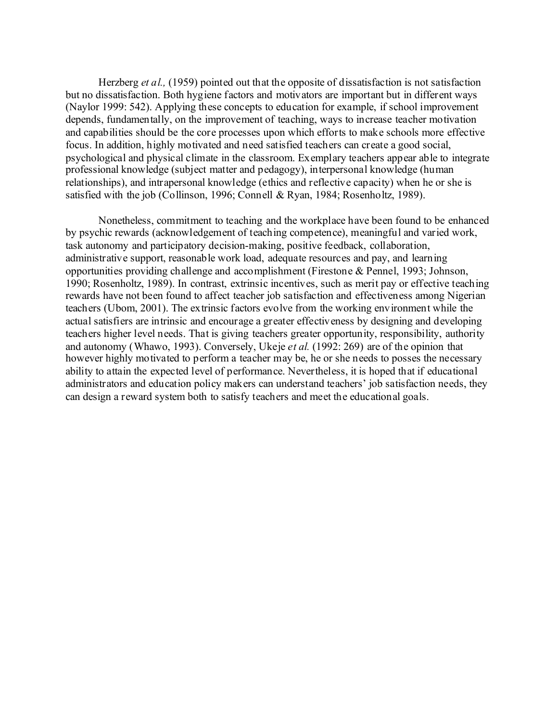Herzberg *et al.,* (1959) pointed out that the opposite of dissatisfaction is not satisfaction but no dissatisfaction. Both hygiene factors and motivators are important but in different ways (Naylor 1999: 542). Applying these concepts to education for example, if school improvement depends, fundamentally, on the improvement of teaching, ways to increase teacher motivation and capabilities should be the core processes upon which efforts to make schools more effective focus. In addition, highly motivated and need satisfied teachers can create a good social, psychological and physical climate in the classroom. Exemplary teachers appear able to integrate professional knowledge (subject matter and pedagogy), interpersonal knowledge (human relationships), and intrapersonal knowledge (ethics and reflective capacity) when he or she is satisfied with the job (Collinson, 1996; Connell & Ryan, 1984; Rosenholtz, 1989).

Nonetheless, commitment to teaching and the workplace have been found to be enhanced by psychic rewards (acknowledgement of teaching competence), meaningful and varied work, task autonomy and participatory decision-making, positive feedback, collaboration, administrative support, reasonable work load, adequate resources and pay, and learning opportunities providing challenge and accomplishment (Firestone & Pennel, 1993; Johnson, 1990; Rosenholtz, 1989). In contrast, extrinsic incentives, such as merit pay or effective teaching rewards have not been found to affect teacher job satisfaction and effectiveness among Nigerian teachers (Ubom, 2001). The extrinsic factors evolve from the working environment while the actual satisfiers are intrinsic and encourage a greater effectiveness by designing and developing teachers higher level needs. That is giving teachers greater opportunity, responsibility, authority and autonomy (Whawo, 1993). Conversely, Ukeje *et al.* (1992: 269) are of the opinion that however highly motivated to perform a teacher may be, he or she needs to posses the necessary ability to attain the expected level of performance. Nevertheless, it is hoped that if educational administrators and education policy makers can understand teachers' job satisfaction needs, they can design a reward system both to satisfy teachers and meet the educational goals.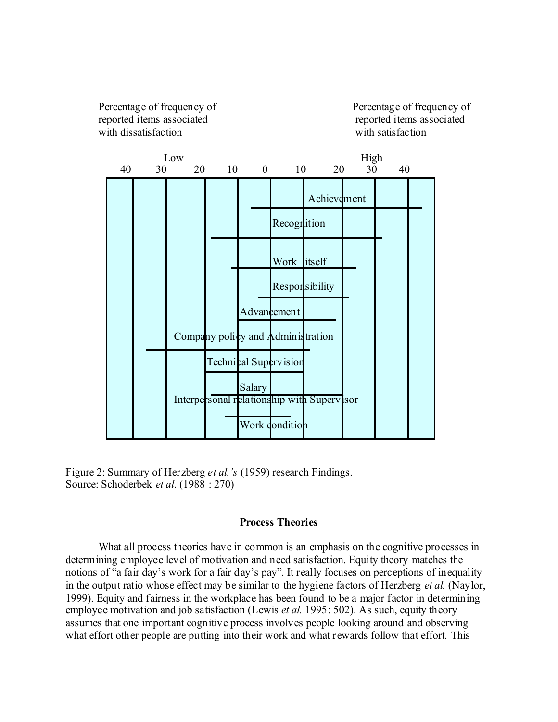Percentage of frequency of Percentage of frequency of reported items associated reported items associated with dissatisfaction with satisfaction



Figure 2: Summary of Herzberg *et al.'s* (1959) research Findings. Source: Schoderbek *et al*. (1988 : 270)

# **Process Theories**

What all process theories have in common is an emphasis on the cognitive processes in determining employee level of motivation and need satisfaction. Equity theory matches the notions of "a fair day's work for a fair day's pay". It really focuses on perceptions of inequality in the output ratio whose effect may be similar to the hygiene factors of Herzberg *et al.* (Naylor, 1999). Equity and fairness in the workplace has been found to be a major factor in determining employee motivation and job satisfaction (Lewis *et al.* 1995: 502). As such, equity theory assumes that one important cognitive process involves people looking around and observing what effort other people are putting into their work and what rewards follow that effort. This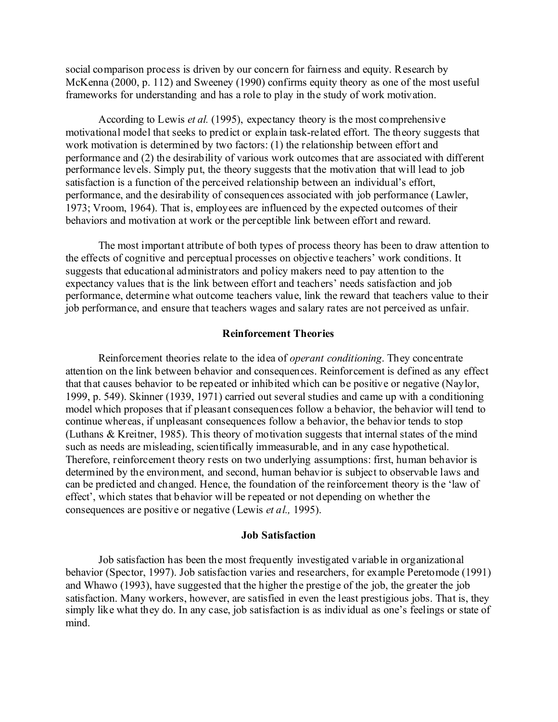social comparison process is driven by our concern for fairness and equity. Research by McKenna (2000, p. 112) and Sweeney (1990) confirms equity theory as one of the most useful frameworks for understanding and has a role to play in the study of work motivation.

According to Lewis *et al.* (1995), expectancy theory is the most comprehensive motivational model that seeks to predict or explain task-related effort. The theory suggests that work motivation is determined by two factors: (1) the relationship between effort and performance and (2) the desirability of various work outcomes that are associated with different performance levels. Simply put, the theory suggests that the motivation that will lead to job satisfaction is a function of the perceived relationship between an individual's effort, performance, and the desirability of consequences associated with job performance (Lawler, 1973; Vroom, 1964). That is, employees are influenced by the expected outcomes of their behaviors and motivation at work or the perceptible link between effort and reward.

The most important attribute of both types of process theory has been to draw attention to the effects of cognitive and perceptual processes on objective teachers' work conditions. It suggests that educational administrators and policy makers need to pay attention to the expectancy values that is the link between effort and teachers' needs satisfaction and job performance, determine what outcome teachers value, link the reward that teachers value to their job performance, and ensure that teachers wages and salary rates are not perceived as unfair.

#### **Reinforcement Theories**

Reinforcement theories relate to the idea of *operant conditioning*. They concentrate attention on the link between behavior and consequences. Reinforcement is defined as any effect that that causes behavior to be repeated or inhibited which can be positive or negative (Naylor, 1999, p. 549). Skinner (1939, 1971) carried out several studies and came up with a conditioning model which proposes that if pleasant consequences follow a behavior, the behavior will tend to continue whereas, if unpleasant consequences follow a behavior, the behavior tends to stop (Luthans & Kreitner, 1985). This theory of motivation suggests that internal states of the mind such as needs are misleading, scientifically immeasurable, and in any case hypothetical. Therefore, reinforcement theory rests on two underlying assumptions: first, human behavior is determined by the environment, and second, human behavior is subject to observable laws and can be predicted and changed. Hence, the foundation of the reinforcement theory is the 'law of effect', which states that behavior will be repeated or not depending on whether the consequences are positive or negative (Lewis *et al.,* 1995).

#### **Job Satisfaction**

Job satisfaction has been the most frequently investigated variable in organizational behavior (Spector, 1997). Job satisfaction varies and researchers, for example Peretomode (1991) and Whawo (1993), have suggested that the higher the prestige of the job, the greater the job satisfaction. Many workers, however, are satisfied in even the least prestigious jobs. That is, they simply like what they do. In any case, job satisfaction is as individual as one's feelings or state of mind.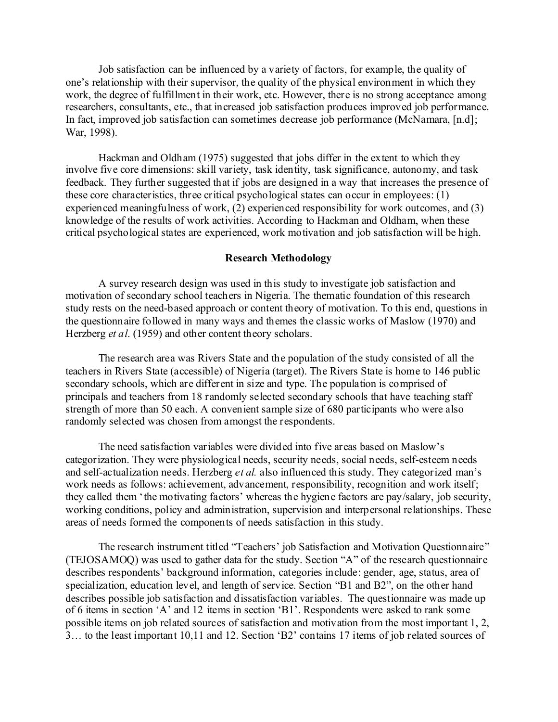Job satisfaction can be influenced by a variety of factors, for example, the quality of one's relationship with their supervisor, the quality of the physical environment in which they work, the degree of fulfillment in their work, etc. However, there is no strong acceptance among researchers, consultants, etc., that increased job satisfaction produces improved job performance. In fact, improved job satisfaction can sometimes decrease job performance (McNamara, [n.d]; War, 1998).

Hackman and Oldham (1975) suggested that jobs differ in the extent to which they involve five core dimensions: skill variety, task identity, task significance, autonomy, and task feedback. They further suggested that if jobs are designed in a way that increases the presence of these core characteristics, three critical psychological states can occur in employees: (1) experienced meaningfulness of work, (2) experienced responsibility for work outcomes, and (3) knowledge of the results of work activities. According to Hackman and Oldham, when these critical psychological states are experienced, work motivation and job satisfaction will be high.

#### **Research Methodology**

A survey research design was used in this study to investigate job satisfaction and motivation of secondary school teachers in Nigeria. The thematic foundation of this research study rests on the need-based approach or content theory of motivation. To this end, questions in the questionnaire followed in many ways and themes the classic works of Maslow (1970) and Herzberg *et al*. (1959) and other content theory scholars.

The research area was Rivers State and the population of the study consisted of all the teachers in Rivers State (accessible) of Nigeria (target). The Rivers State is home to 146 public secondary schools, which are different in size and type. The population is comprised of principals and teachers from 18 randomly selected secondary schools that have teaching staff strength of more than 50 each. A convenient sample size of 680 participants who were also randomly selected was chosen from amongst the respondents.

The need satisfaction variables were divided into five areas based on Maslow's categorization. They were physiological needs, security needs, social needs, self-esteem needs and self-actualization needs. Herzberg *et al.* also influenced this study. They categorized man's work needs as follows: achievement, advancement, responsibility, recognition and work itself; they called them 'the motivating factors' whereas the hygiene factors are pay/salary, job security, working conditions, policy and administration, supervision and interpersonal relationships. These areas of needs formed the components of needs satisfaction in this study.

The research instrument titled "Teachers' job Satisfaction and Motivation Questionnaire" (TEJOSAMOQ) was used to gather data for the study. Section "A" of the research questionnaire describes respondents' background information, categories include: gender, age, status, area of specialization, education level, and length of service. Section "B1 and B2", on the other hand describes possible job satisfaction and dissatisfaction variables. The questionnaire was made up of 6 items in section 'A' and 12 items in section 'B1'. Respondents were asked to rank some possible items on job related sources of satisfaction and motivation from the most important 1, 2, 3… to the least important 10,11 and 12. Section 'B2' contains 17 items of job related sources of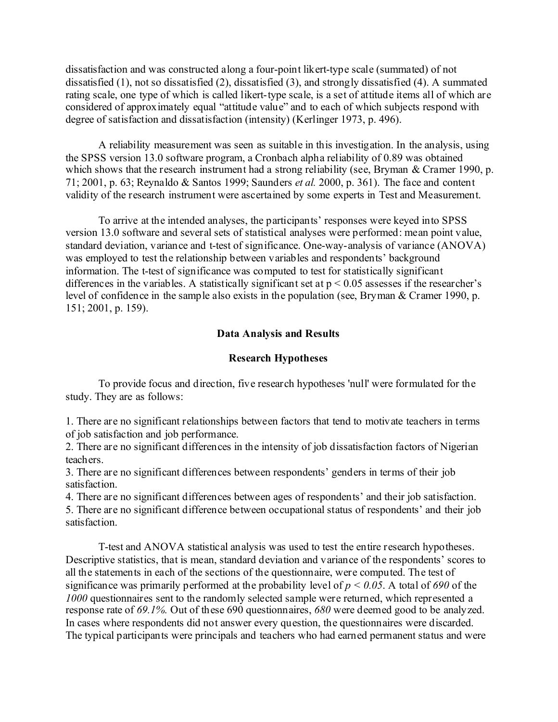dissatisfaction and was constructed along a four-point likert-type scale (summated) of not dissatisfied (1), not so dissatisfied (2), dissatisfied (3), and strongly dissatisfied (4). A summated rating scale, one type of which is called likert-type scale, is a set of attitude items all of which are considered of approximately equal "attitude value" and to each of which subjects respond with degree of satisfaction and dissatisfaction (intensity) (Kerlinger 1973, p. 496).

A reliability measurement was seen as suitable in this investigation. In the analysis, using the SPSS version 13.0 software program, a Cronbach alpha reliability of 0.89 was obtained which shows that the research instrument had a strong reliability (see, Bryman & Cramer 1990, p. 71; 2001, p. 63; Reynaldo & Santos 1999; Saunders *et al.* 2000, p. 361). The face and content validity of the research instrument were ascertained by some experts in Test and Measurement.

To arrive at the intended analyses, the participants' responses were keyed into SPSS version 13.0 software and several sets of statistical analyses were performed: mean point value, standard deviation, variance and t-test of significance. One-way-analysis of variance (ANOVA) was employed to test the relationship between variables and respondents' background information. The t-test of significance was computed to test for statistically significant differences in the variables. A statistically significant set at  $p < 0.05$  assesses if the researcher's level of confidence in the sample also exists in the population (see, Bryman & Cramer 1990, p. 151; 2001, p. 159).

# **Data Analysis and Results**

# **Research Hypotheses**

To provide focus and direction, five research hypotheses 'null' were formulated for the study. They are as follows:

1. There are no significant relationships between factors that tend to motivate teachers in terms of job satisfaction and job performance.

2. There are no significant differences in the intensity of job dissatisfaction factors of Nigerian teachers.

3. There are no significant differences between respondents' genders in terms of their job satisfaction.

4. There are no significant differences between ages of respondents' and their job satisfaction.

5. There are no significant difference between occupational status of respondents' and their job satisfaction.

T-test and ANOVA statistical analysis was used to test the entire research hypotheses. Descriptive statistics, that is mean, standard deviation and variance of the respondents' scores to all the statements in each of the sections of the questionnaire, were computed. The test of significance was primarily performed at the probability level of *p < 0.05*. A total of *690* of the *1000* questionnaires sent to the randomly selected sample were returned, which represented a response rate of *69.1%.* Out of these 690 questionnaires, *680* were deemed good to be analyzed. In cases where respondents did not answer every question, the questionnaires were discarded. The typical participants were principals and teachers who had earned permanent status and were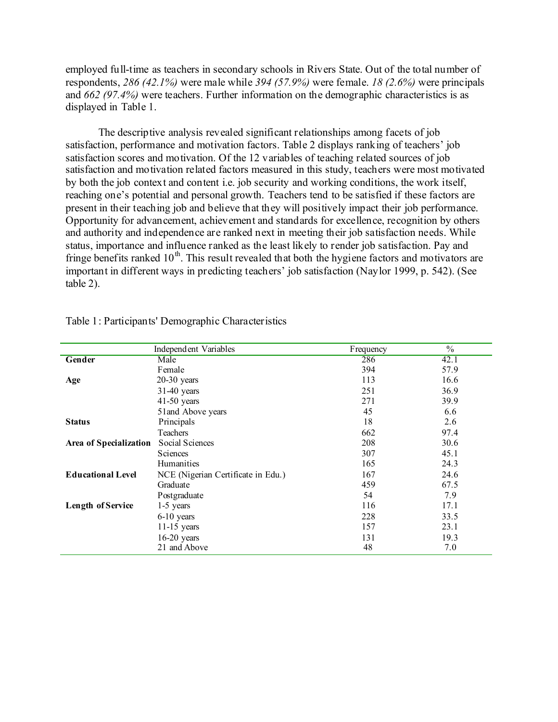employed full-time as teachers in secondary schools in Rivers State. Out of the total number of respondents, *286 (42.1%)* were male while *394 (57.9%)* were female. *18 (2.6%)* were principals and *662 (97.4%)* were teachers. Further information on the demographic characteristics is as displayed in Table 1.

The descriptive analysis revealed significant relationships among facets of job satisfaction, performance and motivation factors. Table 2 displays ranking of teachers' job satisfaction scores and motivation. Of the 12 variables of teaching related sources of job satisfaction and motivation related factors measured in this study, teachers were most motivated by both the job context and content i.e. job security and working conditions, the work itself, reaching one's potential and personal growth. Teachers tend to be satisfied if these factors are present in their teaching job and believe that they will positively impact their job performance. Opportunity for advancement, achievement and standards for excellence, recognition by others and authority and independence are ranked next in meeting their job satisfaction needs. While status, importance and influence ranked as the least likely to render job satisfaction. Pay and fringe benefits ranked  $10^{th}$ . This result revealed that both the hygiene factors and motivators are important in different ways in predicting teachers' job satisfaction (Naylor 1999, p. 542). (See table 2).

|                          | Independent Variables              | Frequency | $\frac{0}{0}$ |
|--------------------------|------------------------------------|-----------|---------------|
| Gender                   | Male                               | 286       | 42.1          |
|                          | Female                             | 394       | 57.9          |
| Age                      | $20-30$ years                      | 113       | 16.6          |
|                          | $31-40$ years                      | 251       | 36.9          |
|                          | $41-50$ years                      | 271       | 39.9          |
|                          | 51 and Above years                 | 45        | 6.6           |
| <b>Status</b>            | Principals                         | 18        | 2.6           |
|                          | <b>Teachers</b>                    | 662       | 97.4          |
| Area of Specialization   | Social Sciences                    | 208       | 30.6          |
|                          | Sciences                           | 307       | 45.1          |
|                          | Humanities                         | 165       | 24.3          |
| <b>Educational Level</b> | NCE (Nigerian Certificate in Edu.) | 167       | 24.6          |
|                          | Graduate                           | 459       | 67.5          |
|                          | Postgraduate                       | 54        | 7.9           |
| <b>Length of Service</b> | 1-5 years                          | 116       | 17.1          |
|                          | $6-10$ years                       | 228       | 33.5          |
|                          | $11-15$ years                      | 157       | 23.1          |
|                          | $16-20$ years                      | 131       | 19.3          |
|                          | 21 and Above                       | 48        | 7.0           |

Table 1: Participants' Demographic Characteristics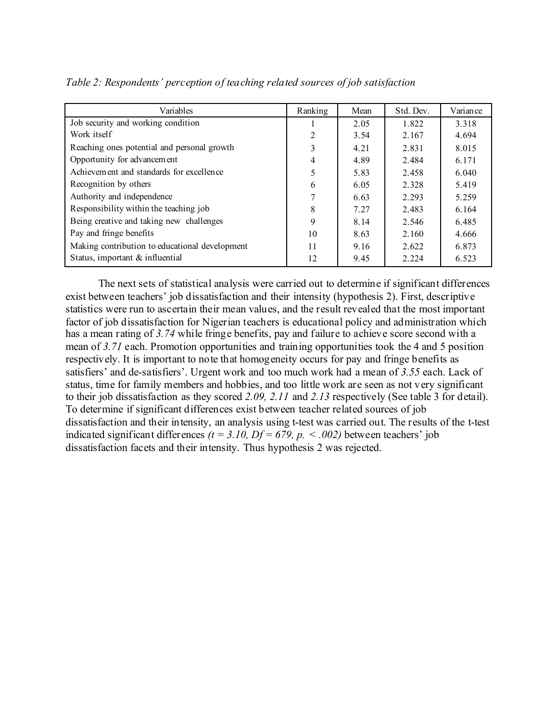| Variables                                      | Ranking        | Mean | Std. Dev. | Variance |
|------------------------------------------------|----------------|------|-----------|----------|
| Job security and working condition             |                | 2.05 | 1.822     | 3.318    |
| Work itself                                    | $\mathfrak{D}$ | 3.54 | 2.167     | 4.694    |
| Reaching ones potential and personal growth    |                | 4.21 | 2.831     | 8.015    |
| Opportunity for advancement                    | 4              | 4.89 | 2.484     | 6.171    |
| Achievement and standards for excellence       |                | 5.83 | 2.458     | 6.040    |
| Recognition by others                          | 6              | 6.05 | 2.328     | 5.419    |
| Authority and independence                     |                | 6.63 | 2.293     | 5.259    |
| Responsibility within the teaching job         | 8              | 7.27 | 2.483     | 6.164    |
| Being creative and taking new challenges       | 9              | 8.14 | 2.546     | 6.485    |
| Pay and fringe benefits                        | 10             | 8.63 | 2.160     | 4.666    |
| Making contribution to educational development | 11             | 9.16 | 2.622     | 6.873    |
| Status, important & influential                | 12             | 9.45 | 2.224     | 6.523    |

*Table 2: Respondents' perception of teaching related sources of job satisfaction*

The next sets of statistical analysis were carried out to determine if significant differences exist between teachers' job dissatisfaction and their intensity (hypothesis 2). First, descriptive statistics were run to ascertain their mean values, and the result revealed that the most important factor of job dissatisfaction for Nigerian teachers is educational policy and administration which has a mean rating of *3.74* while fringe benefits, pay and failure to achieve score second with a mean of *3.71* each. Promotion opportunities and training opportunities took the 4 and 5 position respectively. It is important to note that homogeneity occurs for pay and fringe benefits as satisfiers' and de-satisfiers'. Urgent work and too much work had a mean of *3.55* each. Lack of status, time for family members and hobbies, and too little work are seen as not very significant to their job dissatisfaction as they scored *2.09, 2.11* and *2.13* respectively (See table 3 for detail). To determine if significant differences exist between teacher related sources of job dissatisfaction and their intensity, an analysis using t-test was carried out. The results of the t-test indicated significant differences  $(t = 3.10, Df = 679, p. < .002)$  between teachers' job dissatisfaction facets and their intensity. Thus hypothesis 2 was rejected.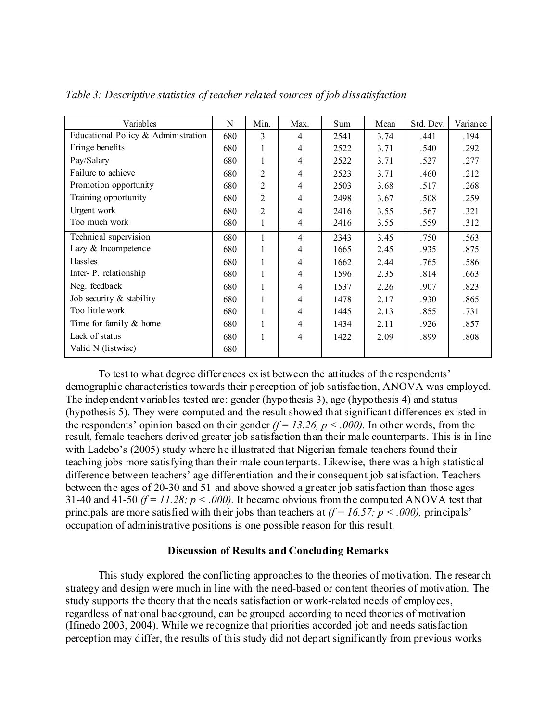| Variables                           | N   | Min.           | Max.           | Sum  | Mean | Std. Dev. | Variance |
|-------------------------------------|-----|----------------|----------------|------|------|-----------|----------|
| Educational Policy & Administration | 680 | 3              | 4              | 2541 | 3.74 | .441      | .194     |
| Fringe benefits                     | 680 | 1              | $\overline{4}$ | 2522 | 3.71 | .540      | .292     |
| Pay/Salary                          | 680 | 1              | $\overline{4}$ | 2522 | 3.71 | .527      | .277     |
| Failure to achieve                  | 680 | 2              | $\overline{4}$ | 2523 | 3.71 | .460      | .212     |
| Promotion opportunity               | 680 | $\overline{2}$ | 4              | 2503 | 3.68 | .517      | .268     |
| Training opportunity                | 680 | 2              | 4              | 2498 | 3.67 | .508      | .259     |
| Urgent work                         | 680 | $\overline{2}$ | $\overline{4}$ | 2416 | 3.55 | .567      | .321     |
| Too much work                       | 680 | 1              | 4              | 2416 | 3.55 | .559      | .312     |
| Technical supervision               | 680 | 1              | $\overline{4}$ | 2343 | 3.45 | .750      | .563     |
| Lazy & Incompetence                 | 680 | 1              | $\overline{4}$ | 1665 | 2.45 | .935      | .875     |
| <b>Hassles</b>                      | 680 | 1              | 4              | 1662 | 2.44 | .765      | .586     |
| Inter-P. relationship               | 680 | 1              | $\overline{4}$ | 1596 | 2.35 | .814      | .663     |
| Neg. feedback                       | 680 | 1              | $\overline{4}$ | 1537 | 2.26 | .907      | .823     |
| Job security $&$ stability          | 680 | 1              | $\overline{4}$ | 1478 | 2.17 | .930      | .865     |
| Too little work                     | 680 | 1              | $\overline{4}$ | 1445 | 2.13 | .855      | .731     |
| Time for family & home              | 680 | 1              | 4              | 1434 | 2.11 | .926      | .857     |
| Lack of status                      | 680 | 1              | 4              | 1422 | 2.09 | .899      | .808     |
| Valid N (listwise)                  | 680 |                |                |      |      |           |          |

*Table 3: Descriptive statistics of teacher related sources of job dissatisfaction*

To test to what degree differences exist between the attitudes of the respondents' demographic characteristics towards their perception of job satisfaction, ANOVA was employed. The independent variables tested are: gender (hypothesis 3), age (hypothesis 4) and status (hypothesis 5). They were computed and the result showed that significant differences existed in the respondents' opinion based on their gender  $(f = 13.26, p < .000)$ . In other words, from the result, female teachers derived greater job satisfaction than their male counterparts. This is in line with Ladebo's (2005) study where he illustrated that Nigerian female teachers found their teaching jobs more satisfying than their male counterparts. Likewise, there was a high statistical difference between teachers' age differentiation and their consequent job satisfaction. Teachers between the ages of 20-30 and 51 and above showed a greater job satisfaction than those ages 31-40 and 41-50  $(f = 11.28; p < .000)$ . It became obvious from the computed ANOVA test that principals are more satisfied with their jobs than teachers at  $(f = 16.57; p < .000)$ , principals' occupation of administrative positions is one possible reason for this result.

### **Discussion of Results and Concluding Remarks**

This study explored the conflicting approaches to the theories of motivation. The research strategy and design were much in line with the need-based or content theories of motivation. The study supports the theory that the needs satisfaction or work-related needs of employees, regardless of national background, can be grouped according to need theories of motivation (Ifinedo 2003, 2004). While we recognize that priorities accorded job and needs satisfaction perception may differ, the results of this study did not depart significantly from previous works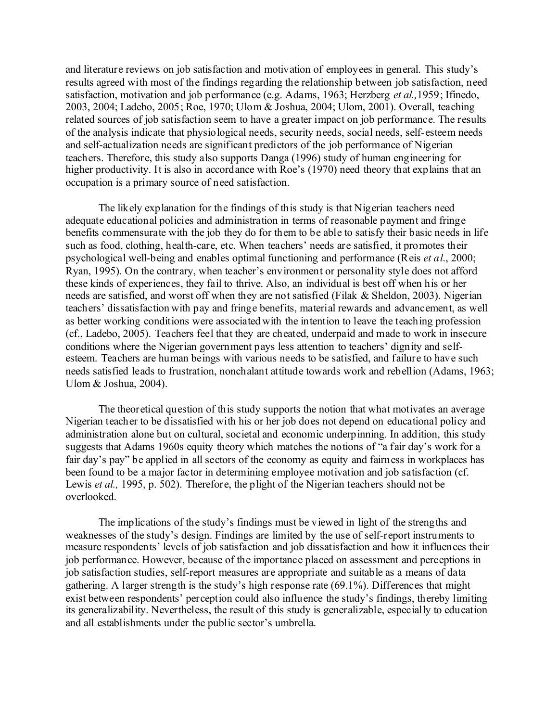and literature reviews on job satisfaction and motivation of employees in general. This study's results agreed with most of the findings regarding the relationship between job satisfaction, need satisfaction, motivation and job performance (e.g. Adams, 1963; Herzberg *et al.,*1959; Ifinedo, 2003, 2004; Ladebo, 2005; Roe, 1970; Ulom & Joshua, 2004; Ulom, 2001). Overall, teaching related sources of job satisfaction seem to have a greater impact on job performance. The results of the analysis indicate that physiological needs, security needs, social needs, self-esteem needs and self-actualization needs are significant predictors of the job performance of Nigerian teachers. Therefore, this study also supports Danga (1996) study of human engineering for higher productivity. It is also in accordance with Roe's (1970) need theory that explains that an occupation is a primary source of need satisfaction.

The likely explanation for the findings of this study is that Nigerian teachers need adequate educational policies and administration in terms of reasonable payment and fringe benefits commensurate with the job they do for them to be able to satisfy their basic needs in life such as food, clothing, health-care, etc. When teachers' needs are satisfied, it promotes their psychological well-being and enables optimal functioning and performance (Reis *et al*., 2000; Ryan, 1995). On the contrary, when teacher's environment or personality style does not afford these kinds of experiences, they fail to thrive. Also, an individual is best off when his or her needs are satisfied, and worst off when they are not satisfied (Filak & Sheldon, 2003). Nigerian teachers' dissatisfaction with pay and fringe benefits, material rewards and advancement, as well as better working conditions were associated with the intention to leave the teaching profession (cf., Ladebo, 2005). Teachers feel that they are cheated, underpaid and made to work in insecure conditions where the Nigerian government pays less attention to teachers' dignity and selfesteem. Teachers are human beings with various needs to be satisfied, and failure to have such needs satisfied leads to frustration, nonchalant attitude towards work and rebellion (Adams, 1963; Ulom & Joshua, 2004).

The theoretical question of this study supports the notion that what motivates an average Nigerian teacher to be dissatisfied with his or her job does not depend on educational policy and administration alone but on cultural, societal and economic underpinning. In addition, this study suggests that Adams 1960s equity theory which matches the notions of "a fair day's work for a fair day's pay" be applied in all sectors of the economy as equity and fairness in workplaces has been found to be a major factor in determining employee motivation and job satisfaction (cf. Lewis *et al.,* 1995, p. 502). Therefore, the plight of the Nigerian teachers should not be overlooked.

The implications of the study's findings must be viewed in light of the strengths and weaknesses of the study's design. Findings are limited by the use of self-report instruments to measure respondents' levels of job satisfaction and job dissatisfaction and how it influences their job performance. However, because of the importance placed on assessment and perceptions in job satisfaction studies, self-report measures are appropriate and suitable as a means of data gathering. A larger strength is the study's high response rate (69.1%). Differences that might exist between respondents' perception could also influence the study's findings, thereby limiting its generalizability. Nevertheless, the result of this study is generalizable, especially to education and all establishments under the public sector's umbrella.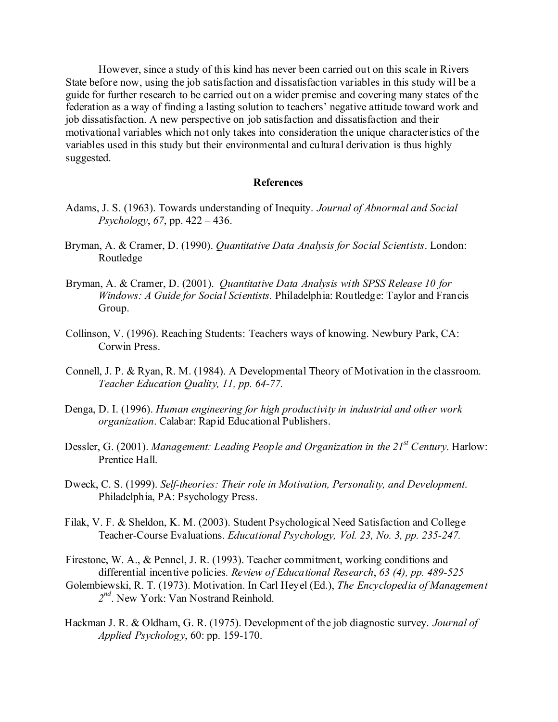However, since a study of this kind has never been carried out on this scale in Rivers State before now, using the job satisfaction and dissatisfaction variables in this study will be a guide for further research to be carried out on a wider premise and covering many states of the federation as a way of finding a lasting solution to teachers' negative attitude toward work and job dissatisfaction. A new perspective on job satisfaction and dissatisfaction and their motivational variables which not only takes into consideration the unique characteristics of the variables used in this study but their environmental and cultural derivation is thus highly suggested.

### **References**

- Adams, J. S. (1963). Towards understanding of Inequity. *Journal of Abnormal and Social Psychology*, *67*, pp. 422 – 436.
- Bryman, A. & Cramer, D. (1990). *Quantitative Data Analysis for Social Scientists*. London: Routledge
- Bryman, A. & Cramer, D. (2001). *Quantitative Data Analysis with SPSS Release 10 for Windows: A Guide for Social Scientists.* Philadelphia: Routledge: Taylor and Francis Group.
- Collinson, V. (1996). Reaching Students: Teachers ways of knowing. Newbury Park, CA: Corwin Press.
- Connell, J. P. & Ryan, R. M. (1984). A Developmental Theory of Motivation in the classroom. *Teacher Education Quality, 11, pp. 64-77.*
- Denga, D. I. (1996). *Human engineering for high productivity in industrial and other work organization*. Calabar: Rapid Educational Publishers.
- Dessler, G. (2001). *Management: Leading People and Organization in the 21<sup>st</sup> Century*. Harlow: Prentice Hall.
- Dweck, C. S. (1999). *Self-theories: Their role in Motivation, Personality, and Development*. Philadelphia, PA: Psychology Press.
- Filak, V. F. & Sheldon, K. M. (2003). Student Psychological Need Satisfaction and College Teacher-Course Evaluations. *Educational Psychology, Vol. 23, No. 3, pp. 235-247.*
- Firestone, W. A., & Pennel, J. R. (1993). Teacher commitment, working conditions and differential incentive policies*. Review of Educational Research*, *63 (4), pp. 489-525*
- Golembiewski, R. T. (1973). Motivation. In Carl Heyel (Ed.), *The Encyclopedia of Management 2nd*. New York: Van Nostrand Reinhold.
- Hackman J. R. & Oldham, G. R. (1975). Development of the job diagnostic survey. *Journal of Applied Psychology*, 60: pp. 159-170.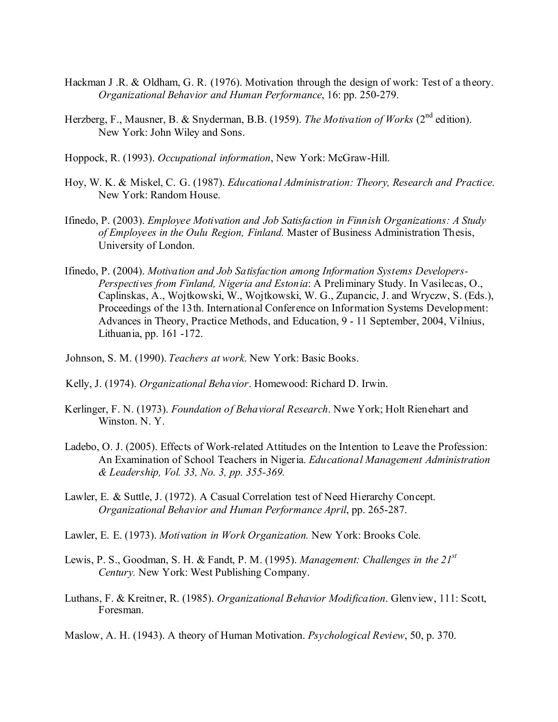- Hackman J .R. & Oldham, G. R. (1976). Motivation through the design of work: Test of a theory. *Organizational Behavior and Human Performance*, 16: pp. 250-279.
- Herzberg, F., Mausner, B. & Snyderman, B.B. (1959). *The Motivation of Works* (2<sup>nd</sup> edition). New York: John Wiley and Sons.
- Hoppock, R. (1993). *Occupational information*, New York: McGraw-Hill.
- Hoy, W. K. & Miskel, C. G. (1987). *Educational Administration: Theory, Research and Practice*. New York: Random House.
- Ifinedo, P. (2003). *Employee Motivation and Job Satisfaction in Finnish Organizations: A Study of Employees in the Oulu Region, Finland.* Master of Business Administration Thesis, University of London.
- Ifinedo, P. (2004). *Motivation and Job Satisfaction among Information Systems Developers-Perspectives from Finland, Nigeria and Estonia*: A Preliminary Study. In Vasilecas, O., Caplinskas, A., Wojtkowski, W., Wojtkowski, W. G., Zupancic, J. and Wryczw, S. (Eds.), Proceedings of the 13th. International Conference on Information Systems Development: Advances in Theory, Practice Methods, and Education, 9 - 11 September, 2004, Vilnius, Lithuania, pp. 161 -172.
- Johnson, S. M. (1990). *Teachers at work*. New York: Basic Books.
- Kelly, J. (1974). *Organizational Behavior*. Homewood: Richard D. Irwin.
- Kerlinger, F. N. (1973). *Foundation of Behavioral Research*. Nwe York; Holt Rienehart and Winston. N. Y.
- Ladebo, O. J. (2005). Effects of Work-related Attitudes on the Intention to Leave the Profession: An Examination of School Teachers in Nigeria. *Educational Management Administration & Leadership, Vol. 33, No. 3, pp. 355-369.*
- Lawler, E. & Suttle, J. (1972). A Casual Correlation test of Need Hierarchy Concept. *Organizational Behavior and Human Performance April*, pp. 265-287.
- Lawler, E. E. (1973). *Motivation in Work Organization.* New York: Brooks Cole.
- Lewis, P. S., Goodman, S. H. & Fandt, P. M. (1995). *Management: Challenges in the 21st Century.* New York: West Publishing Company.
- Luthans, F. & Kreitner, R. (1985). *Organizational Behavior Modification*. Glenview, 111: Scott, Foresman.
- Maslow, A. H. (1943). A theory of Human Motivation. *Psychological Review*, 50, p. 370.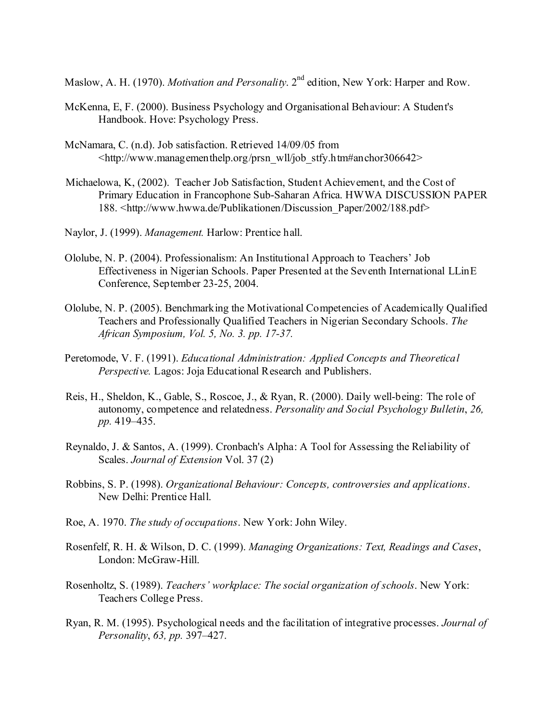Maslow, A. H. (1970). *Motivation and Personality*. 2<sup>nd</sup> edition, New York: Harper and Row.

- McKenna, E, F. (2000). Business Psychology and Organisational Behaviour: A Student's Handbook. Hove: Psychology Press.
- McNamara, C. (n.d). Job satisfaction. Retrieved 14/09/05 from  $\lt$ http://www.managementhelp.org/prsn\_wll/job\_stfy.htm#anchor306642>
- Michaelowa, K, (2002). Teacher Job Satisfaction, Student Achievement, and the Cost of Primary Education in Francophone Sub-Saharan Africa. HWWA DISCUSSION PAPER 188. <http://www.hwwa.de/Publikationen/Discussion\_Paper/2002/188.pdf>
- Naylor, J. (1999). *Management.* Harlow: Prentice hall.
- Ololube, N. P. (2004). Professionalism: An Institutional Approach to Teachers' Job Effectiveness in Nigerian Schools. Paper Presented at the Seventh International LLinE Conference, September 23-25, 2004.
- Ololube, N. P. (2005). Benchmarking the Motivational Competencies of Academically Qualified Teachers and Professionally Qualified Teachers in Nigerian Secondary Schools. *The African Symposium, Vol. 5, No. 3. pp. 17-37.*
- Peretomode, V. F. (1991). *Educational Administration: Applied Concepts and Theoretical Perspective.* Lagos: Joja Educational Research and Publishers.
- Reis, H., Sheldon, K., Gable, S., Roscoe, J., & Ryan, R. (2000). Daily well-being: The role of autonomy, competence and relatedness. *Personality and Social Psychology Bulletin*, *26, pp.* 419–435.
- Reynaldo, J. & Santos, A. (1999). Cronbach's Alpha: A Tool for Assessing the Reliability of Scales. *Journal of Extension* Vol. 37 (2)
- Robbins, S. P. (1998). *Organizational Behaviour: Concepts, controversies and applications*. New Delhi: Prentice Hall.
- Roe, A. 1970. *The study of occupations*. New York: John Wiley.
- Rosenfelf, R. H. & Wilson, D. C. (1999). *Managing Organizations: Text, Readings and Cases*, London: McGraw-Hill.
- Rosenholtz, S. (1989). *Teachers' workplace: The social organization of schools*. New York: Teachers College Press.
- Ryan, R. M. (1995). Psychological needs and the facilitation of integrative processes. *Journal of Personality*, *63, pp.* 397–427.